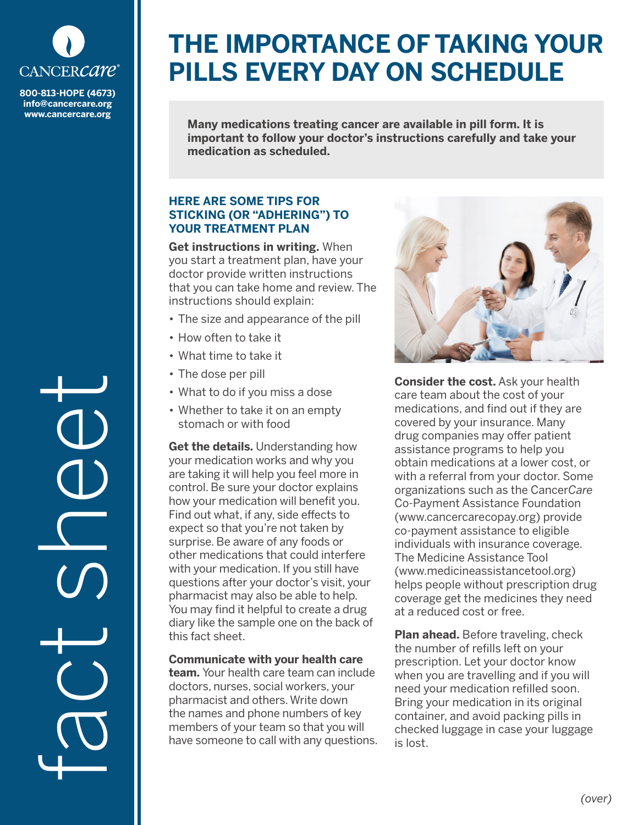

**800-813-HOPE (4673) info@cancercare.org www.cancercare.org**

fact sheet

# **THE IMPORTANCE OF TAKING YOUR PILLS EVERY DAY ON SCHEDULE**

**Many medications treating cancer are available in pill form. It is important to follow your doctor's instructions carefully and take your medication as scheduled.**

## **HERE ARE SOME TIPS FOR STICKING (OR "ADHERING") TO YOUR TREATMENT PLAN**

**Get instructions in writing.** When you start a treatment plan, have your doctor provide written instructions that you can take home and review. The instructions should explain:

- The size and appearance of the pill
- How often to take it
- What time to take it
- The dose per pill
- What to do if you miss a dose
- Whether to take it on an empty stomach or with food

**Get the details.** Understanding how your medication works and why you are taking it will help you feel more in control. Be sure your doctor explains how your medication will benefit you. Find out what, if any, side effects to expect so that you're not taken by surprise. Be aware of any foods or other medications that could interfere with your medication. If you still have questions after your doctor's visit, your pharmacist may also be able to help. You may find it helpful to create a drug diary like the sample one on the back of this fact sheet.

## **Communicate with your health care**

**team.** Your health care team can include doctors, nurses, social workers, your pharmacist and others. Write down the names and phone numbers of key members of your team so that you will have someone to call with any questions.



**Consider the cost.** Ask your health care team about the cost of your medications, and find out if they are covered by your insurance. Many drug companies may offer patient assistance programs to help you obtain medications at a lower cost, or with a referral from your doctor. Some organizations such as the Cancer*Care* Co-Payment Assistance Foundation (www.cancercarecopay.org) provide co-payment assistance to eligible individuals with insurance coverage. The Medicine Assistance Tool (www.medicineassistancetool.org) helps people without prescription drug coverage get the medicines they need at a reduced cost or free.

**Plan ahead.** Before traveling, check the number of refills left on your prescription. Let your doctor know when you are travelling and if you will need your medication refilled soon. Bring your medication in its original container, and avoid packing pills in checked luggage in case your luggage is lost.